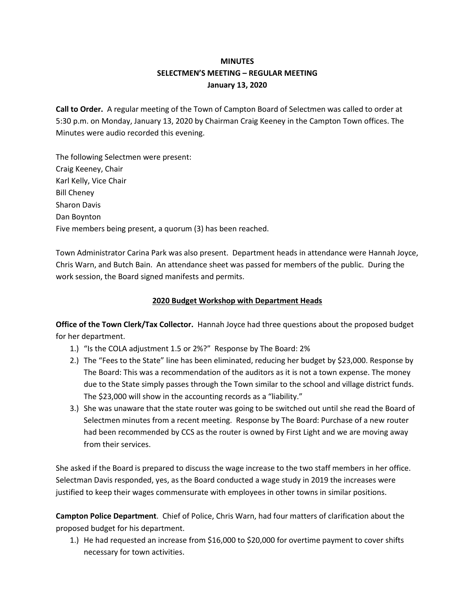# **MINUTES SELECTMEN'S MEETING – REGULAR MEETING January 13, 2020**

**Call to Order.** A regular meeting of the Town of Campton Board of Selectmen was called to order at 5:30 p.m. on Monday, January 13, 2020 by Chairman Craig Keeney in the Campton Town offices. The Minutes were audio recorded this evening.

The following Selectmen were present: Craig Keeney, Chair Karl Kelly, Vice Chair Bill Cheney Sharon Davis Dan Boynton Five members being present, a quorum (3) has been reached.

Town Administrator Carina Park was also present. Department heads in attendance were Hannah Joyce, Chris Warn, and Butch Bain. An attendance sheet was passed for members of the public. During the work session, the Board signed manifests and permits.

## **2020 Budget Workshop with Department Heads**

**Office of the Town Clerk/Tax Collector.** Hannah Joyce had three questions about the proposed budget for her department.

- 1.) "Is the COLA adjustment 1.5 or 2%?" Response by The Board: 2%
- 2.) The "Fees to the State" line has been eliminated, reducing her budget by \$23,000. Response by The Board: This was a recommendation of the auditors as it is not a town expense. The money due to the State simply passes through the Town similar to the school and village district funds. The \$23,000 will show in the accounting records as a "liability."
- 3.) She was unaware that the state router was going to be switched out until she read the Board of Selectmen minutes from a recent meeting. Response by The Board: Purchase of a new router had been recommended by CCS as the router is owned by First Light and we are moving away from their services.

She asked if the Board is prepared to discuss the wage increase to the two staff members in her office. Selectman Davis responded, yes, as the Board conducted a wage study in 2019 the increases were justified to keep their wages commensurate with employees in other towns in similar positions.

**Campton Police Department**. Chief of Police, Chris Warn, had four matters of clarification about the proposed budget for his department.

1.) He had requested an increase from \$16,000 to \$20,000 for overtime payment to cover shifts necessary for town activities.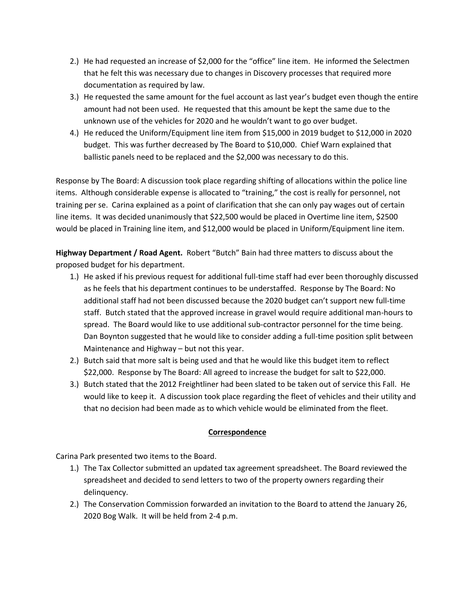- 2.) He had requested an increase of \$2,000 for the "office" line item. He informed the Selectmen that he felt this was necessary due to changes in Discovery processes that required more documentation as required by law.
- 3.) He requested the same amount for the fuel account as last year's budget even though the entire amount had not been used. He requested that this amount be kept the same due to the unknown use of the vehicles for 2020 and he wouldn't want to go over budget.
- 4.) He reduced the Uniform/Equipment line item from \$15,000 in 2019 budget to \$12,000 in 2020 budget. This was further decreased by The Board to \$10,000. Chief Warn explained that ballistic panels need to be replaced and the \$2,000 was necessary to do this.

Response by The Board: A discussion took place regarding shifting of allocations within the police line items. Although considerable expense is allocated to "training," the cost is really for personnel, not training per se. Carina explained as a point of clarification that she can only pay wages out of certain line items. It was decided unanimously that \$22,500 would be placed in Overtime line item, \$2500 would be placed in Training line item, and \$12,000 would be placed in Uniform/Equipment line item.

**Highway Department / Road Agent.** Robert "Butch" Bain had three matters to discuss about the proposed budget for his department.

- 1.) He asked if his previous request for additional full-time staff had ever been thoroughly discussed as he feels that his department continues to be understaffed. Response by The Board: No additional staff had not been discussed because the 2020 budget can't support new full-time staff. Butch stated that the approved increase in gravel would require additional man-hours to spread. The Board would like to use additional sub-contractor personnel for the time being. Dan Boynton suggested that he would like to consider adding a full-time position split between Maintenance and Highway – but not this year.
- 2.) Butch said that more salt is being used and that he would like this budget item to reflect \$22,000. Response by The Board: All agreed to increase the budget for salt to \$22,000.
- 3.) Butch stated that the 2012 Freightliner had been slated to be taken out of service this Fall. He would like to keep it. A discussion took place regarding the fleet of vehicles and their utility and that no decision had been made as to which vehicle would be eliminated from the fleet.

### **Correspondence**

Carina Park presented two items to the Board.

- 1.) The Tax Collector submitted an updated tax agreement spreadsheet. The Board reviewed the spreadsheet and decided to send letters to two of the property owners regarding their delinquency.
- 2.) The Conservation Commission forwarded an invitation to the Board to attend the January 26, 2020 Bog Walk. It will be held from 2-4 p.m.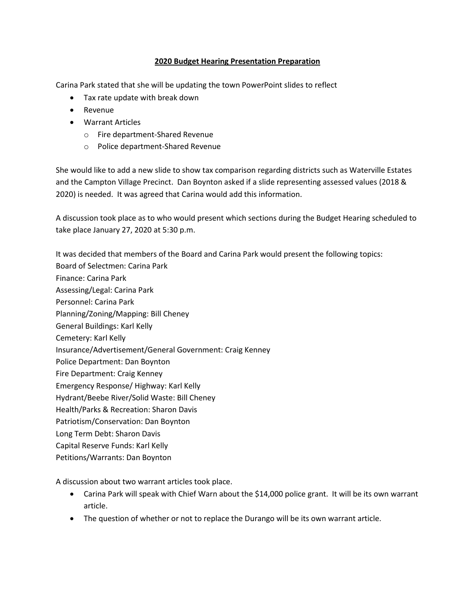### **2020 Budget Hearing Presentation Preparation**

Carina Park stated that she will be updating the town PowerPoint slides to reflect

- Tax rate update with break down
- Revenue
- Warrant Articles
	- o Fire department-Shared Revenue
	- o Police department-Shared Revenue

She would like to add a new slide to show tax comparison regarding districts such as Waterville Estates and the Campton Village Precinct. Dan Boynton asked if a slide representing assessed values (2018 & 2020) is needed. It was agreed that Carina would add this information.

A discussion took place as to who would present which sections during the Budget Hearing scheduled to take place January 27, 2020 at 5:30 p.m.

It was decided that members of the Board and Carina Park would present the following topics:

- Board of Selectmen: Carina Park
- Finance: Carina Park
- Assessing/Legal: Carina Park
- Personnel: Carina Park
- Planning/Zoning/Mapping: Bill Cheney
- General Buildings: Karl Kelly
- Cemetery: Karl Kelly
- Insurance/Advertisement/General Government: Craig Kenney
- Police Department: Dan Boynton
- Fire Department: Craig Kenney
- Emergency Response/ Highway: Karl Kelly
- Hydrant/Beebe River/Solid Waste: Bill Cheney
- Health/Parks & Recreation: Sharon Davis
- Patriotism/Conservation: Dan Boynton
- Long Term Debt: Sharon Davis
- Capital Reserve Funds: Karl Kelly

## Petitions/Warrants: Dan Boynton

A discussion about two warrant articles took place.

- Carina Park will speak with Chief Warn about the \$14,000 police grant. It will be its own warrant article.
- The question of whether or not to replace the Durango will be its own warrant article.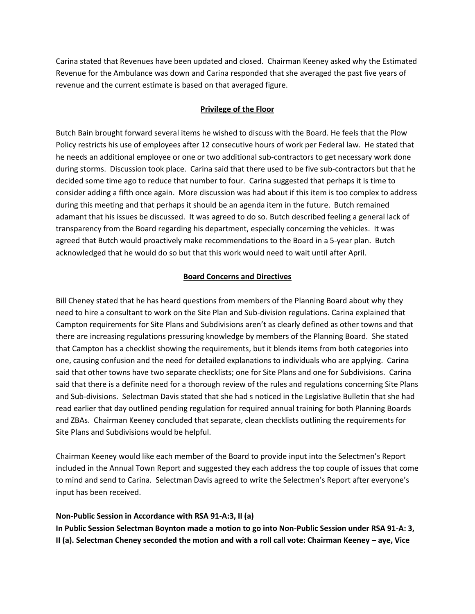Carina stated that Revenues have been updated and closed. Chairman Keeney asked why the Estimated Revenue for the Ambulance was down and Carina responded that she averaged the past five years of revenue and the current estimate is based on that averaged figure.

### **Privilege of the Floor**

Butch Bain brought forward several items he wished to discuss with the Board. He feels that the Plow Policy restricts his use of employees after 12 consecutive hours of work per Federal law. He stated that he needs an additional employee or one or two additional sub-contractors to get necessary work done during storms. Discussion took place. Carina said that there used to be five sub-contractors but that he decided some time ago to reduce that number to four. Carina suggested that perhaps it is time to consider adding a fifth once again. More discussion was had about if this item is too complex to address during this meeting and that perhaps it should be an agenda item in the future. Butch remained adamant that his issues be discussed. It was agreed to do so. Butch described feeling a general lack of transparency from the Board regarding his department, especially concerning the vehicles. It was agreed that Butch would proactively make recommendations to the Board in a 5-year plan. Butch acknowledged that he would do so but that this work would need to wait until after April.

#### **Board Concerns and Directives**

Bill Cheney stated that he has heard questions from members of the Planning Board about why they need to hire a consultant to work on the Site Plan and Sub-division regulations. Carina explained that Campton requirements for Site Plans and Subdivisions aren't as clearly defined as other towns and that there are increasing regulations pressuring knowledge by members of the Planning Board. She stated that Campton has a checklist showing the requirements, but it blends items from both categories into one, causing confusion and the need for detailed explanations to individuals who are applying. Carina said that other towns have two separate checklists; one for Site Plans and one for Subdivisions. Carina said that there is a definite need for a thorough review of the rules and regulations concerning Site Plans and Sub-divisions. Selectman Davis stated that she had s noticed in the Legislative Bulletin that she had read earlier that day outlined pending regulation for required annual training for both Planning Boards and ZBAs. Chairman Keeney concluded that separate, clean checklists outlining the requirements for Site Plans and Subdivisions would be helpful.

Chairman Keeney would like each member of the Board to provide input into the Selectmen's Report included in the Annual Town Report and suggested they each address the top couple of issues that come to mind and send to Carina. Selectman Davis agreed to write the Selectmen's Report after everyone's input has been received.

### **Non-Public Session in Accordance with RSA 91-A:3, II (a)**

**In Public Session Selectman Boynton made a motion to go into Non-Public Session under RSA 91-A: 3, II** (a). Selectman Cheney seconded the motion and with a roll call vote: Chairman Keeney – aye, Vice